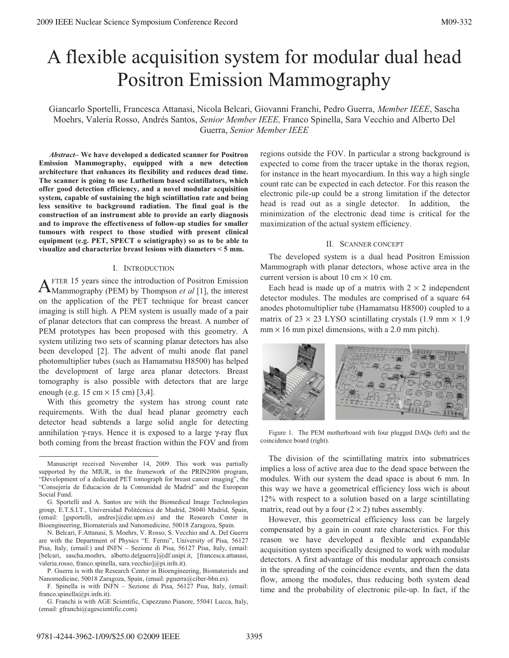# A flexible acquisition system for modular dual head Positron Emission Mammography

Giancarlo Sportelli, Francesca Attanasi, Nicola Belcari, Giovanni Franchi, Pedro Guerra, *Member IEEE*, Sascha Moehrs, Valeria Rosso, Andrés Santos, *Senior Member IEEE,* Franco Spinella, Sara Vecchio and Alberto Del Guerra, *Senior Member IEEE*

 *Abstract–* **We have developed a dedicated scanner for Positron Emission Mammography, equipped with a new detection architecture that enhances its flexibility and reduces dead time. The scanner is going to use Luthetium based scintillators, which offer good detection efficiency, and a novel modular acquisition system, capable of sustaining the high scintillation rate and being less sensitive to background radiation. The final goal is the construction of an instrument able to provide an early diagnosis and to improve the effectiveness of follow-up studies for smaller tumours with respect to those studied with present clinical equipment (e.g. PET, SPECT o scintigraphy) so as to be able to visualize and characterize breast lesions with diameters < 5 mm.** 

## I. INTRODUCTION

FTER 15 years since the introduction of Positron Emission **A** FTER 15 years since the introduction of Positron Emission Mammography (PEM) by Thompson *et al* [1], the interest on the application of the PET technique for breast cancer imaging is still high. A PEM system is usually made of a pair of planar detectors that can compress the breast. A number of PEM prototypes has been proposed with this geometry. A system utilizing two sets of scanning planar detectors has also been developed [2]. The advent of multi anode flat panel photomultiplier tubes (such as Hamamatsu H8500) has helped the development of large area planar detectors. Breast tomography is also possible with detectors that are large enough (e.g.  $15 \text{ cm} \times 15 \text{ cm}$ ) [3,4].

With this geometry the system has strong count rate requirements. With the dual head planar geometry each detector head subtends a large solid angle for detecting annihilation γ-rays. Hence it is exposed to a large γ-ray flux both coming from the breast fraction within the FOV and from regions outside the FOV. In particular a strong background is expected to come from the tracer uptake in the thorax region, for instance in the heart myocardium. In this way a high single count rate can be expected in each detector. For this reason the electronic pile-up could be a strong limitation if the detector head is read out as a single detector. In addition, the minimization of the electronic dead time is critical for the maximization of the actual system efficiency.

#### II. SCANNER CONCEPT

The developed system is a dual head Positron Emission Mammograph with planar detectors, whose active area in the current version is about 10 cm  $\times$  10 cm.

Each head is made up of a matrix with  $2 \times 2$  independent detector modules. The modules are comprised of a square 64 anodes photomultiplier tube (Hamamatsu H8500) coupled to a matrix of  $23 \times 23$  LYSO scintillating crystals (1.9 mm  $\times$  1.9  $mm \times 16$  mm pixel dimensions, with a 2.0 mm pitch).



Figure 1. The PEM motherboard with four plugged DAQs (left) and the coincidence board (right).

The division of the scintillating matrix into submatrices implies a loss of active area due to the dead space between the modules. With our system the dead space is about 6 mm. In this way we have a geometrical efficiency loss wich is about 12% with respect to a solution based on a large scintillating matrix, read out by a four  $(2 \times 2)$  tubes assembly.

However, this geometrical efficiency loss can be largely compensated by a gain in count rate characteristics. For this reason we have developed a flexible and expandable acquisition system specifically designed to work with modular detectors. A first advantage of this modular approach consists in the spreading of the coincidence events, and then the data flow, among the modules, thus reducing both system dead time and the probability of electronic pile-up. In fact, if the

Manuscript received November 14, 2009. This work was partially supported by the MIUR, in the framework of the PRIN2006 program, "Development of a dedicated PET tomograph for breast cancer imaging", the "Consejería de Educación de la Comunidad de Madrid" and the European Social Fund.

G. Sportelli and A. Santos are with the Biomedical Image Technologies group, E.T.S.I.T., Universidad Politécnica de Madrid, 28040 Madrid, Spain, (email: [gsportelli, andres]@die.upm.es) and the Research Center in Bioengineering, Biomaterials and Nanomedicine, 50018 Zaragoza, Spain.

N. Belcari, F.Attanasi, S. Moehrs, V. Rosso, S. Vecchio and A. Del Guerra are with the Department of Physics "E. Fermi", University of Pisa, 56127 Pisa, Italy, (email:) and INFN – Sezione di Pisa, 56127 Pisa, Italy, (email: [belcari, sascha.moehrs, alberto.delguerra]@df.unipi.it, [francesca.attanasi, valeria.rosso, franco.spinella, sara.vecchio]@pi.infn.it).

P. Guerra is with the Research Center in Bioengineering, Biomaterials and Nanomedicine, 50018 Zaragoza, Spain, (email: pguerra@ciber-bbn.es).

F. Spinella is with INFN – Sezione di Pisa, 56127 Pisa, Italy, (email: franco.spinella@pi.infn.it).

G. Franchi is with AGE Scientific, Capezzano Pianore, 55041 Lucca, Italy, (email: gfranchi@agescientific.com).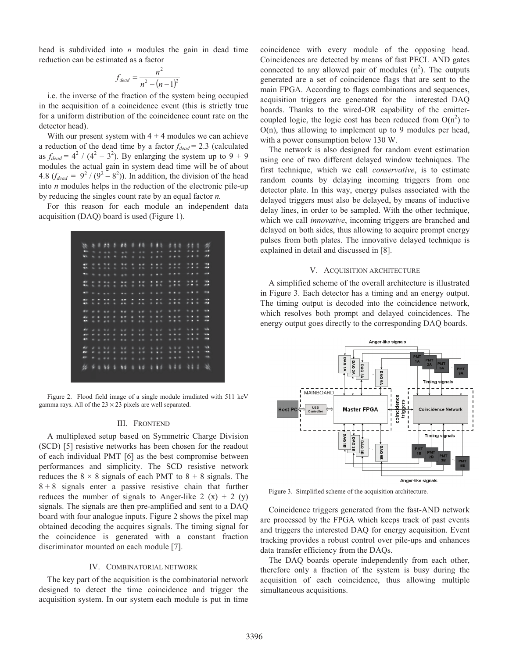head is subdivided into *n* modules the gain in dead time reduction can be estimated as a factor

$$
f_{dead} = \frac{n^2}{n^2 - (n-1)^2}
$$

i.e. the inverse of the fraction of the system being occupied in the acquisition of a coincidence event (this is strictly true for a uniform distribution of the coincidence count rate on the detector head).

With our present system with  $4 + 4$  modules we can achieve a reduction of the dead time by a factor  $f_{dead} = 2.3$  (calculated as  $f_{dead} = 4^2 / (4^2 - 3^2)$ . By enlarging the system up to  $9 + 9$ modules the actual gain in system dead time will be of about 4.8  $(f_{dead} = 9^2 / (9^2 - 8^2))$ . In addition, the division of the head into *n* modules helps in the reduction of the electronic pile-up by reducing the singles count rate by an equal factor *n.*

For this reason for each module an independent data acquisition (DAQ) board is used (Figure 1).

| æ                        | ٠    | ٠       | ш              | и         | п                        |                | υ | a n                      |                | ٠ |                | ٠        | $\blacksquare$ |     | 68                       |          | п | 邩 |
|--------------------------|------|---------|----------------|-----------|--------------------------|----------------|---|--------------------------|----------------|---|----------------|----------|----------------|-----|--------------------------|----------|---|---|
| <b>COL</b>               | ٠    | ٠       | $\sim$         | ٠         |                          | $\bullet$      | ٠ |                          | $\blacksquare$ | ۰ | . .            |          |                |     |                          |          | ٠ | œ |
| œ                        | ۰.   | $-0.65$ |                | ٠         |                          | $\blacksquare$ | ٠ |                          | $\bullet$      |   | $\blacksquare$ |          |                |     | . .                      |          | ٠ | œ |
| ш                        | ۰    |         | $\sim$         | ٠         | $\sim$                   |                | ٠ |                          | --             | ٠ | $\sim$         | .        |                |     |                          |          |   | œ |
| œ                        | ٠    |         |                | ٠         |                          | $\cdots$       | ٠ |                          | $\bullet$      | ٠ | $\bullet$      | $\cdots$ |                |     |                          |          |   | œ |
| $\blacksquare$           |      |         |                | ٠         |                          | $\bullet$      | ٠ |                          | $\blacksquare$ |   | $\bullet$      | .        |                |     |                          |          |   | œ |
| $\sim$                   |      | ۰       | <b>. .</b>     | ۰         | $\blacksquare$           |                | ۰ | --                       |                | о | . .            | ٠        | $\blacksquare$ |     |                          | 1 0      |   | œ |
| $\overline{\phantom{a}}$ | ٠    | ٠       | $-1$           | ٠         | $\bullet$                |                | ٠ | $\blacksquare$           |                | ٠ | $\sim$         | ٠        | $\bullet$      |     |                          |          |   | œ |
| $\blacksquare$           | ٠    | $\sim$  | $\sim$         | ٠         | $\blacksquare$           |                | ٠ | a d                      |                |   | $\blacksquare$ | .        |                |     |                          | $-1 - 1$ |   | ▬ |
| œ                        | ۰    | о       | œ              | о         | ш                        |                | ٠ | ╍                        |                | ٠ | - 3            | ٠        | $\sim$         |     | . .                      |          | ٠ | œ |
| $\overline{\phantom{a}}$ | ٠    | ٠       | . .            | ٠         |                          |                | ۰ |                          |                | ٠ | $\overline{a}$ |          | $\blacksquare$ |     | . .                      |          |   | œ |
| $\blacksquare$           | . .  |         | $\bullet$      | ٠         | $\blacksquare$           |                | ٠ | $\blacksquare$           |                | ٠ | $\mathbf{r}$   | 889      |                |     |                          | $\cdots$ |   | œ |
| œ                        |      | о       | $\blacksquare$ | ▫         | $\overline{\phantom{a}}$ |                | п | $\overline{\phantom{a}}$ |                | ۰ | $\blacksquare$ |          | o              | . . | . .                      |          | ٠ | œ |
| ш                        | . .  |         | $\sim$         | ٠         | $\sim$                   |                | ٠ | $\bullet$                |                | ٠ | $\sim$         |          |                |     |                          | .        |   | œ |
| e.                       | $-1$ |         | $\bullet$      | ٠         | $\sim$                   |                | ٠ | $\sim$                   |                |   | $\sim$         |          |                |     |                          | $- 0$    |   | œ |
| œ                        |      | ٠       | $\bullet$      | ٠         | $\blacksquare$           |                | ٠ | $\bullet$                |                | ٠ | $\cdot$        |          |                |     | $\overline{\phantom{a}}$ |          | ٠ | ╍ |
| -                        | ٠    | ٠       | $-1$           | ٠         |                          |                | ٠ | $\sim$                   |                | ٠ | $\blacksquare$ |          |                |     |                          |          |   | œ |
| w                        |      |         |                | ٠         | 80                       |                | ٠ |                          | $\mathbf{R}$   |   | $\sim$         | 5.66     |                |     | $\sim$ $\sim$            |          | ٠ | w |
| $\overline{\phantom{a}}$ |      |         |                | ٠         | $\sim$                   |                | ٠ |                          | $\bullet$      |   | $\cdots$       |          |                |     | $\sim$                   |          | ٠ | œ |
| œ                        | ٠    | $- 0.0$ |                | $\bullet$ | $\cdots$                 |                | ٠ |                          | $\overline{a}$ | ٠ | $\sim$         |          |                |     |                          | $\cdots$ |   | ÷ |
| s                        | ٠    | q       | ш              | -         | ш                        |                | ٠ | ю                        |                | ٠ |                | ٠        | п              | ٠   | a s                      |          | ٠ | 破 |

Figure 2. Flood field image of a single module irradiated with 511 keV gamma rays. All of the  $23 \times 23$  pixels are well separated.

#### III. FRONTEND

A multiplexed setup based on Symmetric Charge Division (SCD) [5] resistive networks has been chosen for the readout of each individual PMT [6] as the best compromise between performances and simplicity. The SCD resistive network reduces the  $8 \times 8$  signals of each PMT to  $8 + 8$  signals. The  $8 + 8$  signals enter a passive resistive chain that further reduces the number of signals to Anger-like 2  $(x) + 2 (y)$ signals. The signals are then pre-amplified and sent to a DAQ board with four analogue inputs. Figure 2 shows the pixel map obtained decoding the acquires signals. The timing signal for the coincidence is generated with a constant fraction discriminator mounted on each module [7].

#### IV. COMBINATORIAL NETWORK

The key part of the acquisition is the combinatorial network designed to detect the time coincidence and trigger the acquisition system. In our system each module is put in time

coincidence with every module of the opposing head. Coincidences are detected by means of fast PECL AND gates connected to any allowed pair of modules  $(n^2)$ . The outputs generated are a set of coincidence flags that are sent to the main FPGA. According to flags combinations and sequences, acquisition triggers are generated for the interested DAQ boards. Thanks to the wired-OR capability of the emittercoupled logic, the logic cost has been reduced from  $O(n^2)$  to  $O(n)$ , thus allowing to implement up to 9 modules per head, with a power consumption below 130 W.

The network is also designed for random event estimation using one of two different delayed window techniques. The first technique, which we call *conservative*, is to estimate random counts by delaying incoming triggers from one detector plate. In this way, energy pulses associated with the delayed triggers must also be delayed, by means of inductive delay lines, in order to be sampled. With the other technique, which we call *innovative*, incoming triggers are branched and delayed on both sides, thus allowing to acquire prompt energy pulses from both plates. The innovative delayed technique is explained in detail and discussed in [8].

#### V. ACQUISITION ARCHITECTURE

A simplified scheme of the overall architecture is illustrated in Figure 3. Each detector has a timing and an energy output. The timing output is decoded into the coincidence network, which resolves both prompt and delayed coincidences. The energy output goes directly to the corresponding DAQ boards.



Figure 3. Simplified scheme of the acquisition architecture.

Coincidence triggers generated from the fast-AND network are processed by the FPGA which keeps track of past events and triggers the interested DAQ for energy acquisition. Event tracking provides a robust control over pile-ups and enhances data transfer efficiency from the DAQs.

The DAQ boards operate independently from each other, therefore only a fraction of the system is busy during the acquisition of each coincidence, thus allowing multiple simultaneous acquisitions.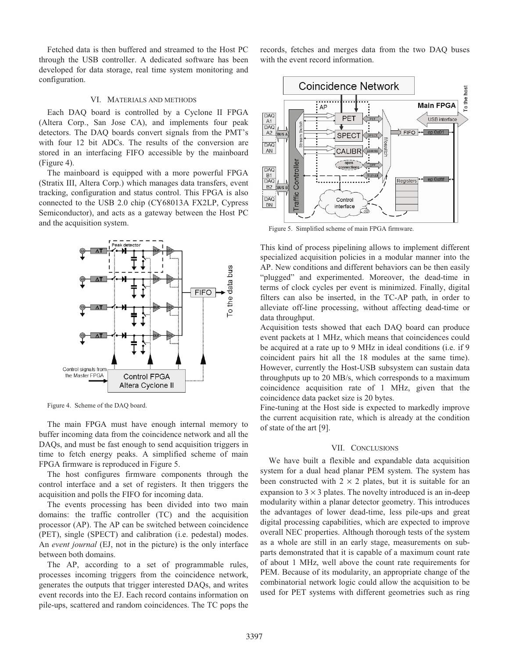Fetched data is then buffered and streamed to the Host PC through the USB controller. A dedicated software has been developed for data storage, real time system monitoring and configuration.

#### VI. MATERIALS AND METHODS

Each DAQ board is controlled by a Cyclone II FPGA (Altera Corp., San Jose CA), and implements four peak detectors. The DAQ boards convert signals from the PMT's with four 12 bit ADCs. The results of the conversion are stored in an interfacing FIFO accessible by the mainboard (Figure 4).

The mainboard is equipped with a more powerful FPGA (Stratix III, Altera Corp.) which manages data transfers, event tracking, configuration and status control. This FPGA is also connected to the USB 2.0 chip (CY68013A FX2LP, Cypress Semiconductor), and acts as a gateway between the Host PC and the acquisition system.



Figure 4. Scheme of the DAQ board.

The main FPGA must have enough internal memory to buffer incoming data from the coincidence network and all the DAQs, and must be fast enough to send acquisition triggers in time to fetch energy peaks. A simplified scheme of main FPGA firmware is reproduced in Figure 5.

The host configures firmware components through the control interface and a set of registers. It then triggers the acquisition and polls the FIFO for incoming data.

The events processing has been divided into two main domains: the traffic controller (TC) and the acquisition processor (AP). The AP can be switched between coincidence (PET), single (SPECT) and calibration (i.e. pedestal) modes. An *event journal* (EJ, not in the picture) is the only interface between both domains.

The AP, according to a set of programmable rules, processes incoming triggers from the coincidence network, generates the outputs that trigger interested DAQs, and writes event records into the EJ. Each record contains information on pile-ups, scattered and random coincidences. The TC pops the

records, fetches and merges data from the two DAQ buses with the event record information.



Figure 5. Simplified scheme of main FPGA firmware.

This kind of process pipelining allows to implement different specialized acquisition policies in a modular manner into the AP. New conditions and different behaviors can be then easily "plugged" and experimented. Moreover, the dead-time in terms of clock cycles per event is minimized. Finally, digital filters can also be inserted, in the TC-AP path, in order to alleviate off-line processing, without affecting dead-time or data throughput.

Acquisition tests showed that each DAQ board can produce event packets at 1 MHz, which means that coincidences could be acquired at a rate up to 9 MHz in ideal conditions (i.e. if 9 coincident pairs hit all the 18 modules at the same time). However, currently the Host-USB subsystem can sustain data throughputs up to 20 MB/s, which corresponds to a maximum coincidence acquisition rate of 1 MHz, given that the coincidence data packet size is 20 bytes.

Fine-tuning at the Host side is expected to markedly improve the current acquisition rate, which is already at the condition of state of the art [9].

# VII. CONCLUSIONS

We have built a flexible and expandable data acquisition system for a dual head planar PEM system. The system has been constructed with  $2 \times 2$  plates, but it is suitable for an expansion to  $3 \times 3$  plates. The novelty introduced is an in-deep modularity within a planar detector geometry. This introduces the advantages of lower dead-time, less pile-ups and great digital processing capabilities, which are expected to improve overall NEC properties. Although thorough tests of the system as a whole are still in an early stage, measurements on subparts demonstrated that it is capable of a maximum count rate of about 1 MHz, well above the count rate requirements for PEM. Because of its modularity, an appropriate change of the combinatorial network logic could allow the acquisition to be used for PET systems with different geometries such as ring